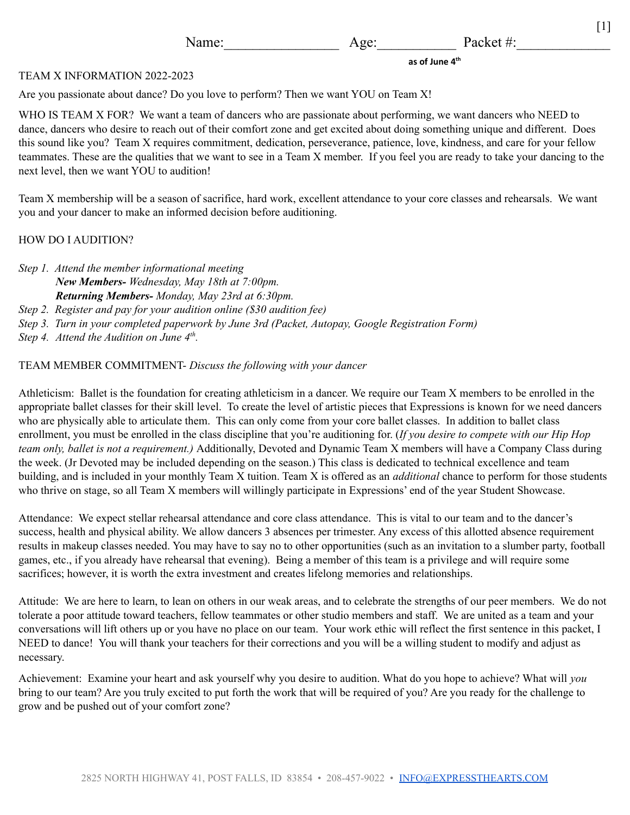**as of June 4 th**

 $[1]$ 

#### TEAM X INFORMATION 2022-2023

Are you passionate about dance? Do you love to perform? Then we want YOU on Team X!

WHO IS TEAM X FOR? We want a team of dancers who are passionate about performing, we want dancers who NEED to dance, dancers who desire to reach out of their comfort zone and get excited about doing something unique and different. Does this sound like you? Team X requires commitment, dedication, perseverance, patience, love, kindness, and care for your fellow teammates. These are the qualities that we want to see in a Team X member. If you feel you are ready to take your dancing to the next level, then we want YOU to audition!

Team X membership will be a season of sacrifice, hard work, excellent attendance to your core classes and rehearsals. We want you and your dancer to make an informed decision before auditioning.

## HOW DO I AUDITION?

*Step 1. Attend the member informational meeting New Members- Wednesday, May 18th at 7:00pm. Returning Members- Monday, May 23rd at 6:30pm. Step 2. Register and pay for your audition online (\$30 audition fee) Step 3. Turn in your completed paperwork by June 3rd (Packet, Autopay, Google Registration Form) Step 4. Attend the Audition on June 4 th .*

# TEAM MEMBER COMMITMENT- *Discuss the following with your dancer*

Athleticism: Ballet is the foundation for creating athleticism in a dancer. We require our Team X members to be enrolled in the appropriate ballet classes for their skill level. To create the level of artistic pieces that Expressions is known for we need dancers who are physically able to articulate them. This can only come from your core ballet classes. In addition to ballet class enrollment, you must be enrolled in the class discipline that you're auditioning for. (*If you desire to compete with our Hip Hop team only, ballet is not a requirement.)* Additionally, Devoted and Dynamic Team X members will have a Company Class during the week. (Jr Devoted may be included depending on the season.) This class is dedicated to technical excellence and team building, and is included in your monthly Team X tuition. Team X is offered as an *additional* chance to perform for those students who thrive on stage, so all Team X members will willingly participate in Expressions' end of the year Student Showcase.

Attendance: We expect stellar rehearsal attendance and core class attendance. This is vital to our team and to the dancer's success, health and physical ability. We allow dancers 3 absences per trimester. Any excess of this allotted absence requirement results in makeup classes needed. You may have to say no to other opportunities (such as an invitation to a slumber party, football games, etc., if you already have rehearsal that evening). Being a member of this team is a privilege and will require some sacrifices; however, it is worth the extra investment and creates lifelong memories and relationships.

Attitude: We are here to learn, to lean on others in our weak areas, and to celebrate the strengths of our peer members. We do not tolerate a poor attitude toward teachers, fellow teammates or other studio members and staff. We are united as a team and your conversations will lift others up or you have no place on our team. Your work ethic will reflect the first sentence in this packet, I NEED to dance! You will thank your teachers for their corrections and you will be a willing student to modify and adjust as necessary.

Achievement: Examine your heart and ask yourself why you desire to audition. What do you hope to achieve? What will *you* bring to our team? Are you truly excited to put forth the work that will be required of you? Are you ready for the challenge to grow and be pushed out of your comfort zone?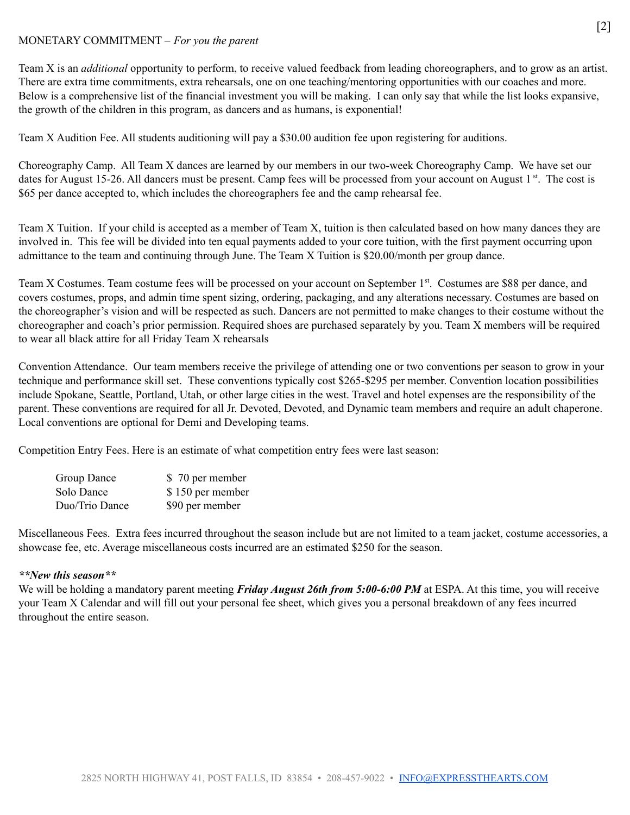# MONETARY COMMITMENT – *For you the parent*

Team X is an *additional* opportunity to perform, to receive valued feedback from leading choreographers, and to grow as an artist. There are extra time commitments, extra rehearsals, one on one teaching/mentoring opportunities with our coaches and more. Below is a comprehensive list of the financial investment you will be making. I can only say that while the list looks expansive, the growth of the children in this program, as dancers and as humans, is exponential!

Team X Audition Fee. All students auditioning will pay a \$30.00 audition fee upon registering for auditions.

Choreography Camp. All Team X dances are learned by our members in our two-week Choreography Camp. We have set our dates for August 15-26. All dancers must be present. Camp fees will be processed from your account on August 1<sup>st</sup>. The cost is \$65 per dance accepted to, which includes the choreographers fee and the camp rehearsal fee.

Team X Tuition. If your child is accepted as a member of Team X, tuition is then calculated based on how many dances they are involved in. This fee will be divided into ten equal payments added to your core tuition, with the first payment occurring upon admittance to the team and continuing through June. The Team X Tuition is \$20.00/month per group dance.

Team X Costumes. Team costume fees will be processed on your account on September 1<sup>st</sup>. Costumes are \$88 per dance, and covers costumes, props, and admin time spent sizing, ordering, packaging, and any alterations necessary. Costumes are based on the choreographer's vision and will be respected as such. Dancers are not permitted to make changes to their costume without the choreographer and coach's prior permission. Required shoes are purchased separately by you. Team X members will be required to wear all black attire for all Friday Team X rehearsals

Convention Attendance. Our team members receive the privilege of attending one or two conventions per season to grow in your technique and performance skill set. These conventions typically cost \$265-\$295 per member. Convention location possibilities include Spokane, Seattle, Portland, Utah, or other large cities in the west. Travel and hotel expenses are the responsibility of the parent. These conventions are required for all Jr. Devoted, Devoted, and Dynamic team members and require an adult chaperone. Local conventions are optional for Demi and Developing teams.

Competition Entry Fees. Here is an estimate of what competition entry fees were last season:

| Group Dance    | \$70 per member  |
|----------------|------------------|
| Solo Dance     | \$150 per member |
| Duo/Trio Dance | \$90 per member  |

Miscellaneous Fees. Extra fees incurred throughout the season include but are not limited to a team jacket, costume accessories, a showcase fee, etc. Average miscellaneous costs incurred are an estimated \$250 for the season.

## *\*\*New this season\*\**

We will be holding a mandatory parent meeting *Friday August 26th from 5:00-6:00 PM* at ESPA. At this time, you will receive your Team X Calendar and will fill out your personal fee sheet, which gives you a personal breakdown of any fees incurred throughout the entire season.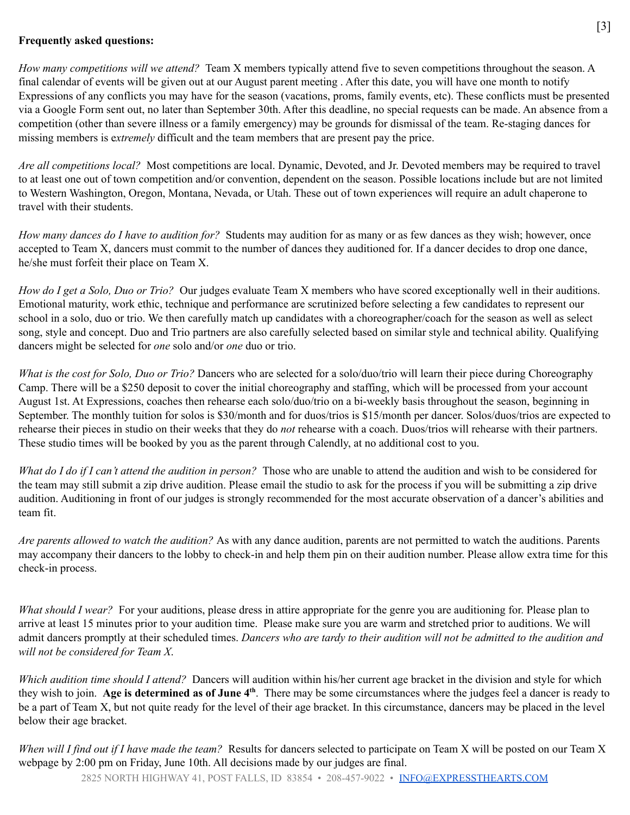## **Frequently asked questions:**

*How many competitions will we attend?* Team X members typically attend five to seven competitions throughout the season. A final calendar of events will be given out at our August parent meeting . After this date, you will have one month to notify Expressions of any conflicts you may have for the season (vacations, proms, family events, etc). These conflicts must be presented via a Google Form sent out, no later than September 30th. After this deadline, no special requests can be made. An absence from a competition (other than severe illness or a family emergency) may be grounds for dismissal of the team. Re-staging dances for missing members is e*xtremely* difficult and the team members that are present pay the price.

*Are all competitions local?* Most competitions are local. Dynamic, Devoted, and Jr. Devoted members may be required to travel to at least one out of town competition and/or convention, dependent on the season. Possible locations include but are not limited to Western Washington, Oregon, Montana, Nevada, or Utah. These out of town experiences will require an adult chaperone to travel with their students.

*How many dances do I have to audition for?* Students may audition for as many or as few dances as they wish; however, once accepted to Team X, dancers must commit to the number of dances they auditioned for. If a dancer decides to drop one dance, he/she must forfeit their place on Team X.

*How do I get a Solo, Duo or Trio?* Our judges evaluate Team X members who have scored exceptionally well in their auditions. Emotional maturity, work ethic, technique and performance are scrutinized before selecting a few candidates to represent our school in a solo, duo or trio. We then carefully match up candidates with a choreographer/coach for the season as well as select song, style and concept. Duo and Trio partners are also carefully selected based on similar style and technical ability. Qualifying dancers might be selected for *one* solo and/or *one* duo or trio.

*What is the cost for Solo, Duo or Trio?* Dancers who are selected for a solo/duo/trio will learn their piece during Choreography Camp. There will be a \$250 deposit to cover the initial choreography and staffing, which will be processed from your account August 1st. At Expressions, coaches then rehearse each solo/duo/trio on a bi-weekly basis throughout the season, beginning in September. The monthly tuition for solos is \$30/month and for duos/trios is \$15/month per dancer. Solos/duos/trios are expected to rehearse their pieces in studio on their weeks that they do *not* rehearse with a coach. Duos/trios will rehearse with their partners. These studio times will be booked by you as the parent through Calendly, at no additional cost to you.

*What do I do if I can't attend the audition in person?* Those who are unable to attend the audition and wish to be considered for the team may still submit a zip drive audition. Please email the studio to ask for the process if you will be submitting a zip drive audition. Auditioning in front of our judges is strongly recommended for the most accurate observation of a dancer's abilities and team fit.

*Are parents allowed to watch the audition?* As with any dance audition, parents are not permitted to watch the auditions. Parents may accompany their dancers to the lobby to check-in and help them pin on their audition number. Please allow extra time for this check-in process.

*What should I wear?* For your auditions, please dress in attire appropriate for the genre you are auditioning for. Please plan to arrive at least 15 minutes prior to your audition time. Please make sure you are warm and stretched prior to auditions. We will admit dancers promptly at their scheduled times. Dancers who are tardy to their audition will not be admitted to the audition and *will not be considered for Team X*.

*Which audition time should I attend?* Dancers will audition within his/her current age bracket in the division and style for which they wish to join. **Age is determined as of June 4 th** . There may be some circumstances where the judges feel a dancer is ready to be a part of Team X, but not quite ready for the level of their age bracket. In this circumstance, dancers may be placed in the level below their age bracket.

*When will I find out if I have made the team?* Results for dancers selected to participate on Team X will be posted on our Team X webpage by 2:00 pm on Friday, June 10th. All decisions made by our judges are final.

2825 NORTH HIGHWAY 41, POST FALLS, ID 83854 • 208-457-9022 • [INFO@EXPRESSTHEARTS.COM](mailto:INFO@EXPRESSTHEARTS.COM)